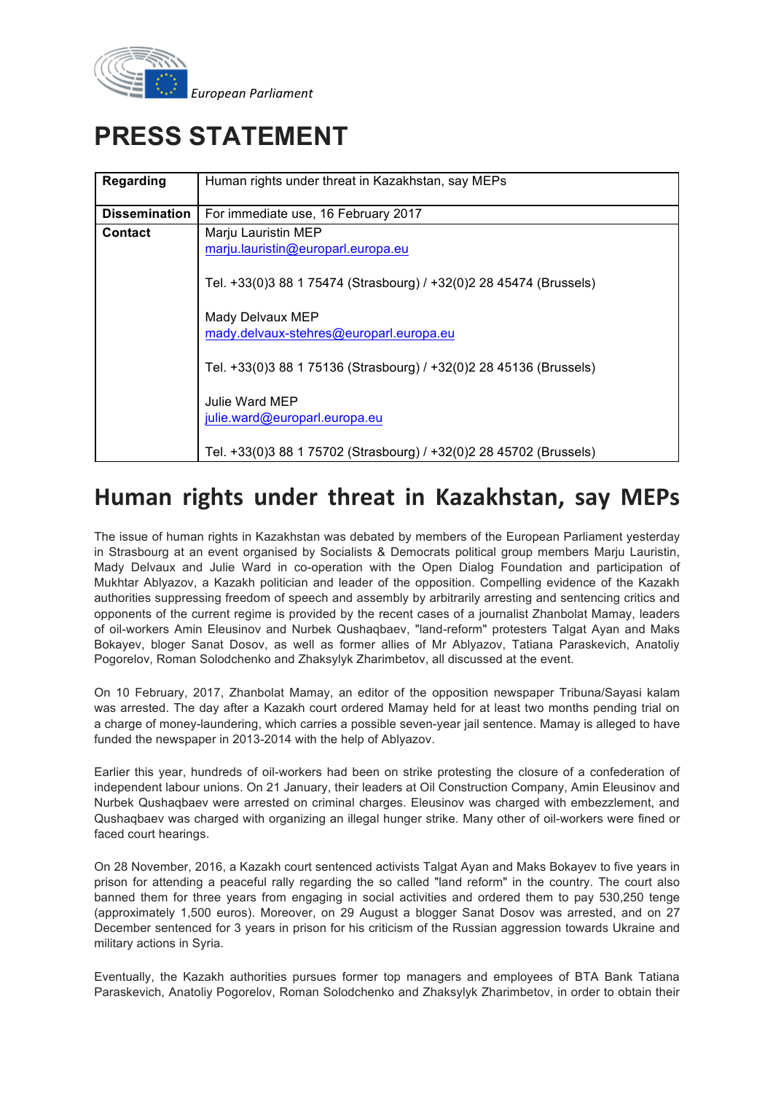

# **PRESS STATEMENT**

| <b>Regarding</b>     | Human rights under threat in Kazakhstan, say MEPs                  |
|----------------------|--------------------------------------------------------------------|
| <b>Dissemination</b> | For immediate use, 16 February 2017                                |
| <b>Contact</b>       | Marju Lauristin MEP                                                |
|                      | marju.lauristin@europarl.europa.eu                                 |
|                      | Tel. +33(0)3 88 1 75474 (Strasbourg) / +32(0)2 28 45474 (Brussels) |
|                      | Mady Delvaux MEP                                                   |
|                      | mady.delvaux-stehres@europarl.europa.eu                            |
|                      | Tel. +33(0)3 88 1 75136 (Strasbourg) / +32(0)2 28 45136 (Brussels) |
|                      | Julie Ward MEP                                                     |
|                      | julie.ward@europarl.europa.eu                                      |
|                      |                                                                    |
|                      | Tel. +33(0)3 88 1 75702 (Strasbourg) / +32(0)2 28 45702 (Brussels) |

## **Human rights under threat in Kazakhstan, say MEPs**

The issue of human rights in Kazakhstan was debated by members of the European Parliament yesterday in Strasbourg at an event organised by Socialists & Democrats political group members Marju Lauristin, Mady Delvaux and Julie Ward in co-operation with the Open Dialog Foundation and participation of Mukhtar Ablyazov, a Kazakh politician and leader of the opposition. Compelling evidence of the Kazakh authorities suppressing freedom of speech and assembly by arbitrarily arresting and sentencing critics and opponents of the current regime is provided by the recent cases of a journalist Zhanbolat Mamay, leaders of oil-workers Amin Eleusinov and Nurbek Qushaqbaev, "land-reform" protesters Talgat Ayan and Maks Bokayev, bloger Sanat Dosov, as well as former allies of Mr Ablyazov, Tatiana Paraskevich, Anatoliy Pogorelov, Roman Solodchenko and Zhaksylyk Zharimbetov, all discussed at the event.

On 10 February, 2017, Zhanbolat Mamay, an editor of the opposition newspaper Tribuna/Sayasi kalam was arrested. The day after a Kazakh court ordered Mamay held for at least two months pending trial on a charge of money-laundering, which carries a possible seven-year jail sentence. Mamay is alleged to have funded the newspaper in 2013-2014 with the help of Ablyazov.

Earlier this year, hundreds of oil-workers had been on strike protesting the closure of a confederation of independent labour unions. On 21 January, their leaders at Oil Construction Company, Amin Eleusinov and Nurbek Qushaqbaev were arrested on criminal charges. Eleusinov was charged with embezzlement, and Qushaqbaev was charged with organizing an illegal hunger strike. Many other of oil-workers were fined or faced court hearings.

On 28 November, 2016, a Kazakh court sentenced activists Talgat Ayan and Maks Bokayev to five years in prison for attending a peaceful rally regarding the so called "land reform" in the country. The court also banned them for three years from engaging in social activities and ordered them to pay 530,250 tenge (approximately 1,500 euros). Moreover, on 29 August a blogger Sanat Dosov was arrested, and on 27 December sentenced for 3 years in prison for his criticism of the Russian aggression towards Ukraine and military actions in Syria.

Eventually, the Kazakh authorities pursues former top managers and employees of BTA Bank Tatiana Paraskevich, Anatoliy Pogorelov, Roman Solodchenko and Zhaksylyk Zharimbetov, in order to obtain their